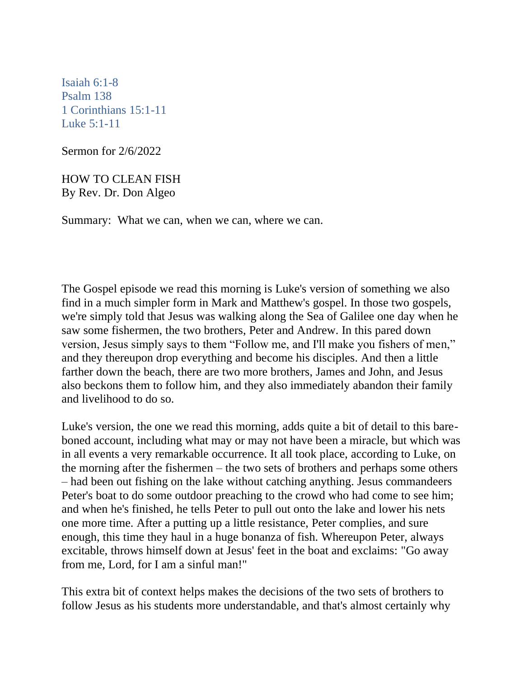[Isaiah 6:1-8](https://lectionary.library.vanderbilt.edu/texts.php?id=111#hebrew_reading) [Psalm 138](https://lectionary.library.vanderbilt.edu/texts.php?id=111#psalm_reading)  [1 Corinthians 15:1-11](https://lectionary.library.vanderbilt.edu/texts.php?id=111#epistle_reading)  [Luke 5:1-11](https://lectionary.library.vanderbilt.edu/texts.php?id=111#gospel_reading)

Sermon for 2/6/2022

HOW TO CLEAN FISH By Rev. Dr. Don Algeo

Summary: What we can, when we can, where we can.

The Gospel episode we read this morning is Luke's version of something we also find in a much simpler form in Mark and Matthew's gospel. In those two gospels, we're simply told that Jesus was walking along the Sea of Galilee one day when he saw some fishermen, the two brothers, Peter and Andrew. In this pared down version, Jesus simply says to them "Follow me, and I'll make you fishers of men," and they thereupon drop everything and become his disciples. And then a little farther down the beach, there are two more brothers, James and John, and Jesus also beckons them to follow him, and they also immediately abandon their family and livelihood to do so.

Luke's version, the one we read this morning, adds quite a bit of detail to this bareboned account, including what may or may not have been a miracle, but which was in all events a very remarkable occurrence. It all took place, according to Luke, on the morning after the fishermen – the two sets of brothers and perhaps some others – had been out fishing on the lake without catching anything. Jesus commandeers Peter's boat to do some outdoor preaching to the crowd who had come to see him; and when he's finished, he tells Peter to pull out onto the lake and lower his nets one more time. After a putting up a little resistance, Peter complies, and sure enough, this time they haul in a huge bonanza of fish. Whereupon Peter, always excitable, throws himself down at Jesus' feet in the boat and exclaims: "Go away from me, Lord, for I am a sinful man!"

This extra bit of context helps makes the decisions of the two sets of brothers to follow Jesus as his students more understandable, and that's almost certainly why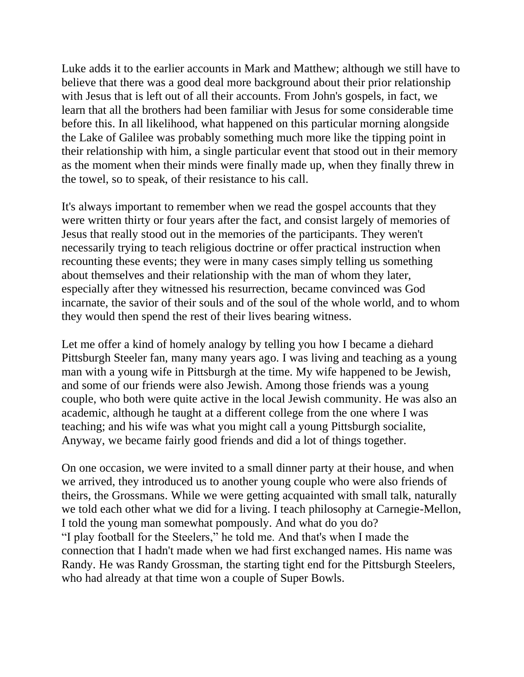Luke adds it to the earlier accounts in Mark and Matthew; although we still have to believe that there was a good deal more background about their prior relationship with Jesus that is left out of all their accounts. From John's gospels, in fact, we learn that all the brothers had been familiar with Jesus for some considerable time before this. In all likelihood, what happened on this particular morning alongside the Lake of Galilee was probably something much more like the tipping point in their relationship with him, a single particular event that stood out in their memory as the moment when their minds were finally made up, when they finally threw in the towel, so to speak, of their resistance to his call.

It's always important to remember when we read the gospel accounts that they were written thirty or four years after the fact, and consist largely of memories of Jesus that really stood out in the memories of the participants. They weren't necessarily trying to teach religious doctrine or offer practical instruction when recounting these events; they were in many cases simply telling us something about themselves and their relationship with the man of whom they later, especially after they witnessed his resurrection, became convinced was God incarnate, the savior of their souls and of the soul of the whole world, and to whom they would then spend the rest of their lives bearing witness.

Let me offer a kind of homely analogy by telling you how I became a diehard Pittsburgh Steeler fan, many many years ago. I was living and teaching as a young man with a young wife in Pittsburgh at the time. My wife happened to be Jewish, and some of our friends were also Jewish. Among those friends was a young couple, who both were quite active in the local Jewish community. He was also an academic, although he taught at a different college from the one where I was teaching; and his wife was what you might call a young Pittsburgh socialite, Anyway, we became fairly good friends and did a lot of things together.

On one occasion, we were invited to a small dinner party at their house, and when we arrived, they introduced us to another young couple who were also friends of theirs, the Grossmans. While we were getting acquainted with small talk, naturally we told each other what we did for a living. I teach philosophy at Carnegie-Mellon, I told the young man somewhat pompously. And what do you do? "I play football for the Steelers," he told me. And that's when I made the connection that I hadn't made when we had first exchanged names. His name was Randy. He was Randy Grossman, the starting tight end for the Pittsburgh Steelers, who had already at that time won a couple of Super Bowls.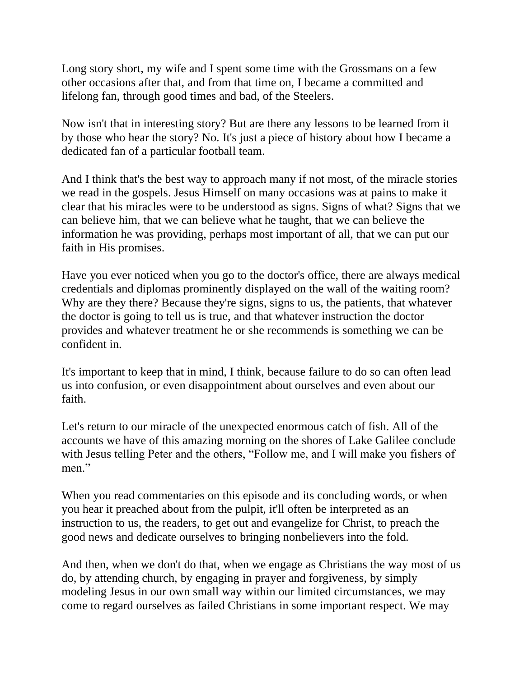Long story short, my wife and I spent some time with the Grossmans on a few other occasions after that, and from that time on, I became a committed and lifelong fan, through good times and bad, of the Steelers.

Now isn't that in interesting story? But are there any lessons to be learned from it by those who hear the story? No. It's just a piece of history about how I became a dedicated fan of a particular football team.

And I think that's the best way to approach many if not most, of the miracle stories we read in the gospels. Jesus Himself on many occasions was at pains to make it clear that his miracles were to be understood as signs. Signs of what? Signs that we can believe him, that we can believe what he taught, that we can believe the information he was providing, perhaps most important of all, that we can put our faith in His promises.

Have you ever noticed when you go to the doctor's office, there are always medical credentials and diplomas prominently displayed on the wall of the waiting room? Why are they there? Because they're signs, signs to us, the patients, that whatever the doctor is going to tell us is true, and that whatever instruction the doctor provides and whatever treatment he or she recommends is something we can be confident in.

It's important to keep that in mind, I think, because failure to do so can often lead us into confusion, or even disappointment about ourselves and even about our faith.

Let's return to our miracle of the unexpected enormous catch of fish. All of the accounts we have of this amazing morning on the shores of Lake Galilee conclude with Jesus telling Peter and the others, "Follow me, and I will make you fishers of men."

When you read commentaries on this episode and its concluding words, or when you hear it preached about from the pulpit, it'll often be interpreted as an instruction to us, the readers, to get out and evangelize for Christ, to preach the good news and dedicate ourselves to bringing nonbelievers into the fold.

And then, when we don't do that, when we engage as Christians the way most of us do, by attending church, by engaging in prayer and forgiveness, by simply modeling Jesus in our own small way within our limited circumstances, we may come to regard ourselves as failed Christians in some important respect. We may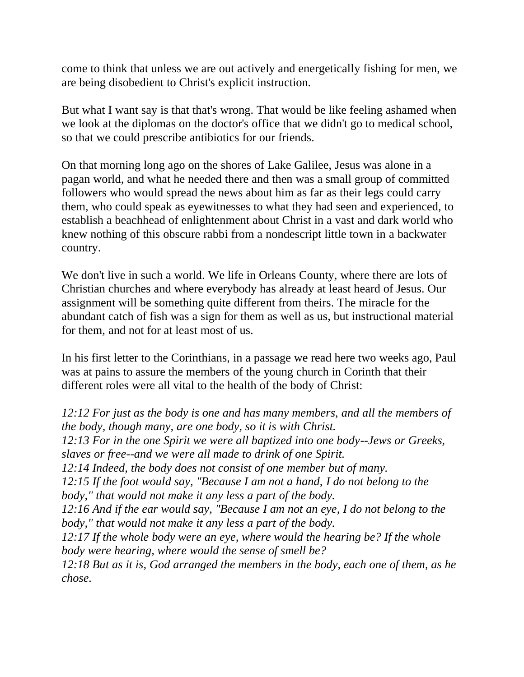come to think that unless we are out actively and energetically fishing for men, we are being disobedient to Christ's explicit instruction.

But what I want say is that that's wrong. That would be like feeling ashamed when we look at the diplomas on the doctor's office that we didn't go to medical school, so that we could prescribe antibiotics for our friends.

On that morning long ago on the shores of Lake Galilee, Jesus was alone in a pagan world, and what he needed there and then was a small group of committed followers who would spread the news about him as far as their legs could carry them, who could speak as eyewitnesses to what they had seen and experienced, to establish a beachhead of enlightenment about Christ in a vast and dark world who knew nothing of this obscure rabbi from a nondescript little town in a backwater country.

We don't live in such a world. We life in Orleans County, where there are lots of Christian churches and where everybody has already at least heard of Jesus. Our assignment will be something quite different from theirs. The miracle for the abundant catch of fish was a sign for them as well as us, but instructional material for them, and not for at least most of us.

In his first letter to the Corinthians, in a passage we read here two weeks ago, Paul was at pains to assure the members of the young church in Corinth that their different roles were all vital to the health of the body of Christ:

*12:12 For just as the body is one and has many members, and all the members of the body, though many, are one body, so it is with Christ. 12:13 For in the one Spirit we were all baptized into one body--Jews or Greeks, slaves or free--and we were all made to drink of one Spirit. 12:14 Indeed, the body does not consist of one member but of many. 12:15 If the foot would say, "Because I am not a hand, I do not belong to the body," that would not make it any less a part of the body. 12:16 And if the ear would say, "Because I am not an eye, I do not belong to the body," that would not make it any less a part of the body. 12:17 If the whole body were an eye, where would the hearing be? If the whole body were hearing, where would the sense of smell be? 12:18 But as it is, God arranged the members in the body, each one of them, as he chose.*